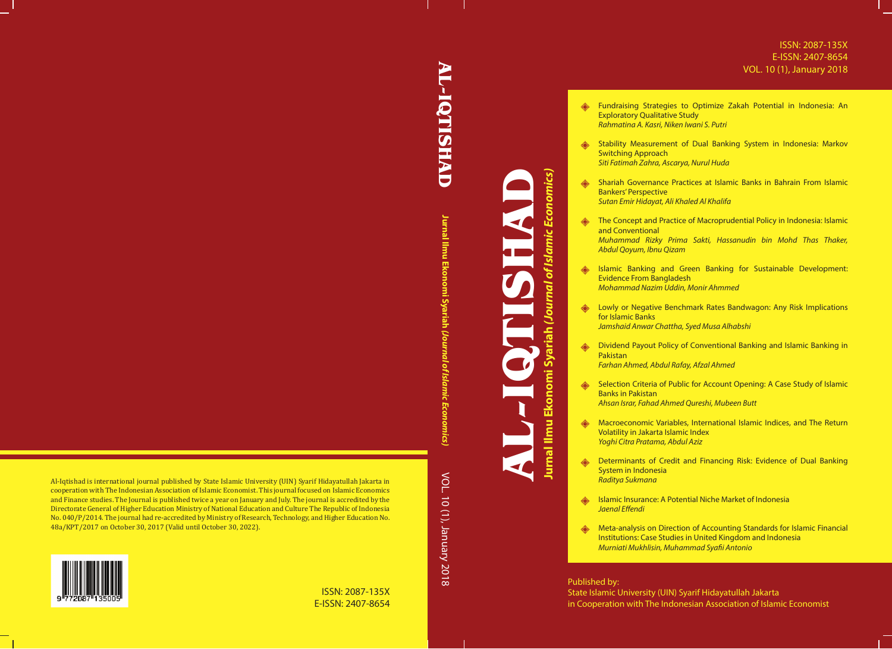## ISSN: 2087-135X E-ISSN: 2407-8654 VOL. 10 (1), January 2018

- Fundraising Strategies to Optimize Zakah Potential in Indonesia: An Exploratory Qualitative Study *Rahmatina A. Kasri, Niken Iwani S. Putri*
	- Stability Measurement of Dual Banking System in Indonesia: Markov Switching Approach *Siti Fatimah Zahra, Ascarya, Nurul Huda*
	- Shariah Governance Practices at Islamic Banks in Bahrain From Islamic Bankers' Perspective *Sutan Emir Hidayat, Ali Khaled Al Khalifa*
	- **EXECONCED The Concept and Practice of Macroprudential Policy in Indonesia: Islamic** and Conventional *Muhammad Rizky Prima Sakti, Hassanudin bin Mohd Thas Thaker,*
	- *Abdul Qoyum, Ibnu Qizam*
	- Islamic Banking and Green Banking for Sustainable Development: Evidence From Bangladesh *Mohammad Nazim Uddin, Monir Ahmmed*
	- **b** Lowly or Negative Benchmark Rates Bandwagon: Any Risk Implications for Islamic Banks *Jamshaid Anwar Chattha, Syed Musa Alhabshi*
	- Dividend Payout Policy of Conventional Banking and Islamic Banking in Pakistan
		- *Farhan Ahmed, Abdul Rafay, Afzal Ahmed*
	- Selection Criteria of Public for Account Opening: A Case Study of Islamic Banks in Pakistan *Ahsan Israr, Fahad Ahmed Qureshi, Mubeen Butt*
	- **ANGLET Macroeconomic Variables, International Islamic Indices, and The Return** Volatility in Jakarta Islamic Index *Yoghi Citra Pratama, Abdul Aziz*
	- **EXEDENT MIN** Determinants of Credit and Financing Risk: Evidence of Dual Banking System in Indonesia *Raditya Sukmana*
	- ₩ Islamic Insurance: A Potential Niche Market of Indonesia *Jaenal Effendi*
	- Meta-analysis on Direction of Accounting Standards for Islamic Financial Institutions: Case Studies in United Kingdom and Indonesia *Murniati Mukhlisin, Muhammad Syafii Antonio*

## Published by:

State Islamic University (UIN) Syarif Hidayatullah Jakarta in Cooperation with The Indonesian Association of Islamic Economist

**AL-IQTISHAD TQTISHAD** 

> Jurnal Ilmu Ekonomi Syariah **Jurnal Ilmu Ekonomi Syariah** *(Journal of Islamic Economics)* VOL. 10 (1), January 2018 VOL. 10 (1), January 2018

**AL-IQTISHAD**

**Jurnal Ilmu Ekonomi Syariah** *(Journal of Islamic Economics)*

Jurnal Ilmu Ekonomi Syariah *(Journal of Islamic Economics)* 

Al-Iqtishad is international journal published by State Islamic University (UIN) Syarif Hidayatullah Jakarta in cooperation with The Indonesian Association of Islamic Economist. This journal focused on Islamic Economics and Finance studies. The Journal is published twice a year on January and July. The journal is accredited by the Directorate General of Higher Education Ministry of National Education and Culture The Republic of Indonesia No. 040/P/2014. The journal had re-accredited by Ministry of Research, Technology, and Higher Education No. 48a/KPT/2017 on October 30, 2017 (Valid until October 30, 2022).



## ISSN: 2087-135X E-ISSN: 2407-8654